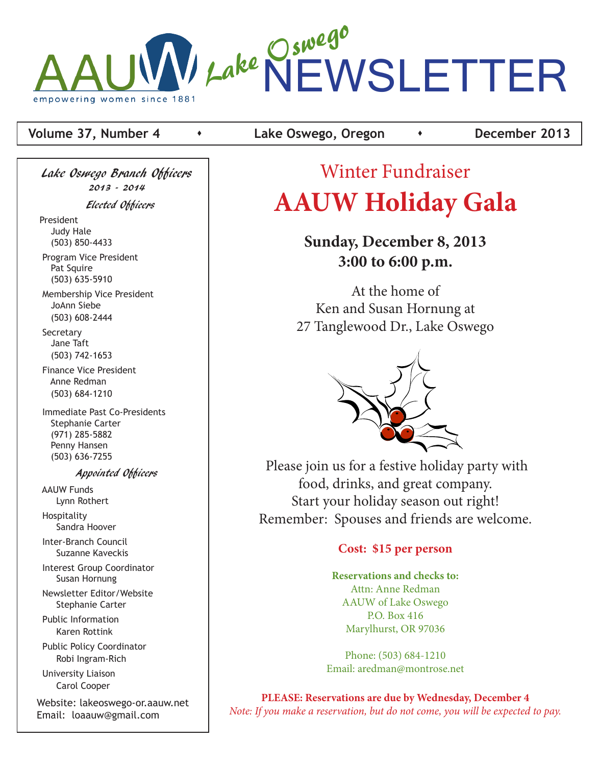

### **Volume 37, Number 4 Conserved Algebra Lake Oswego, Oregon Conserved Algebra 2013**

Lake Oswego Branch Officers 2013 - 2014 Elected Officers President Judy Hale (503) 850-4433 Program Vice President Pat Squire

 (503) 635-5910 Membership Vice President JoAnn Siebe (503) 608-2444

**Secretary**  Jane Taft (503) 742-1653

 Finance Vice President Anne Redman (503) 684-1210

 Immediate Past Co-Presidents Stephanie Carter (971) 285-5882 Penny Hansen (503) 636-7255

#### Appointed Officers

 AAUW Funds Lynn Rothert Hospitality

Sandra Hoover

 Inter-Branch Council Suzanne Kaveckis

 Interest Group Coordinator Susan Hornung

 Newsletter Editor/Website Stephanie Carter

 Public Information Karen Rottink

 Public Policy Coordinator Robi Ingram-Rich

 University Liaison Carol Cooper

Website: lakeoswego-or.aauw.net Email: loaauw@gmail.com

# Winter Fundraiser **AAUW Holiday Gala**

## **Sunday, December 8, 2013 3:00 to 6:00 p.m.**

At the home of Ken and Susan Hornung at 27 Tanglewood Dr., Lake Oswego



Please join us for a festive holiday party with food, drinks, and great company. Start your holiday season out right! Remember: Spouses and friends are welcome.

#### **Cost: \$15 per person**

**Reservations and checks to:** Attn: Anne Redman AAUW of Lake Oswego P.O. Box 416 Marylhurst, OR 97036

Phone: (503) 684-1210 Email: aredman@montrose.net

**PLEASE: Reservations are due by Wednesday, December 4** *Note: If you make a reservation, but do not come, you will be expected to pay.*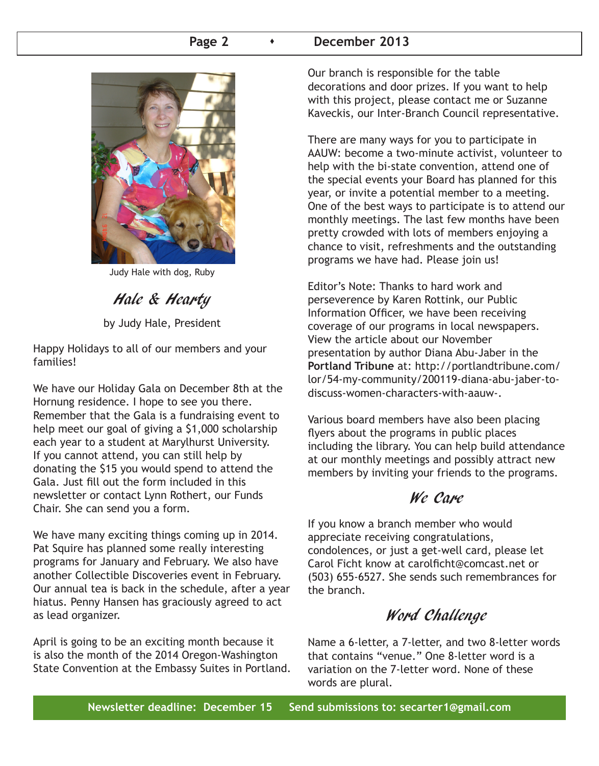#### Page 2 **b December 2013**



Judy Hale with dog, Ruby

Hale & Hearty

by Judy Hale, President

Happy Holidays to all of our members and your families!

We have our Holiday Gala on December 8th at the Hornung residence. I hope to see you there. Remember that the Gala is a fundraising event to help meet our goal of giving a \$1,000 scholarship each year to a student at Marylhurst University. If you cannot attend, you can still help by donating the \$15 you would spend to attend the Gala. Just fill out the form included in this newsletter or contact Lynn Rothert, our Funds Chair. She can send you a form.

We have many exciting things coming up in 2014. Pat Squire has planned some really interesting programs for January and February. We also have another Collectible Discoveries event in February. Our annual tea is back in the schedule, after a year hiatus. Penny Hansen has graciously agreed to act as lead organizer.

April is going to be an exciting month because it is also the month of the 2014 Oregon-Washington State Convention at the Embassy Suites in Portland. Our branch is responsible for the table decorations and door prizes. If you want to help with this project, please contact me or Suzanne Kaveckis, our Inter-Branch Council representative.

There are many ways for you to participate in AAUW: become a two-minute activist, volunteer to help with the bi-state convention, attend one of the special events your Board has planned for this year, or invite a potential member to a meeting. One of the best ways to participate is to attend our monthly meetings. The last few months have been pretty crowded with lots of members enjoying a chance to visit, refreshments and the outstanding programs we have had. Please join us!

Editor's Note: Thanks to hard work and perseverence by Karen Rottink, our Public Information Officer, we have been receiving coverage of our programs in local newspapers. View the article about our November presentation by author Diana Abu-Jaber in the **Portland Tribune** at: http://portlandtribune.com/ lor/54-my-community/200119-diana-abu-jaber-todiscuss-women-characters-with-aauw-.

Various board members have also been placing flyers about the programs in public places including the library. You can help build attendance at our monthly meetings and possibly attract new members by inviting your friends to the programs.

### We Care

If you know a branch member who would appreciate receiving congratulations, condolences, or just a get-well card, please let Carol Ficht know at carolficht@comcast.net or (503) 655-6527. She sends such remembrances for the branch.

### Word Challenge

Name a 6-letter, a 7-letter, and two 8-letter words that contains "venue." One 8-letter word is a variation on the 7-letter word. None of these words are plural.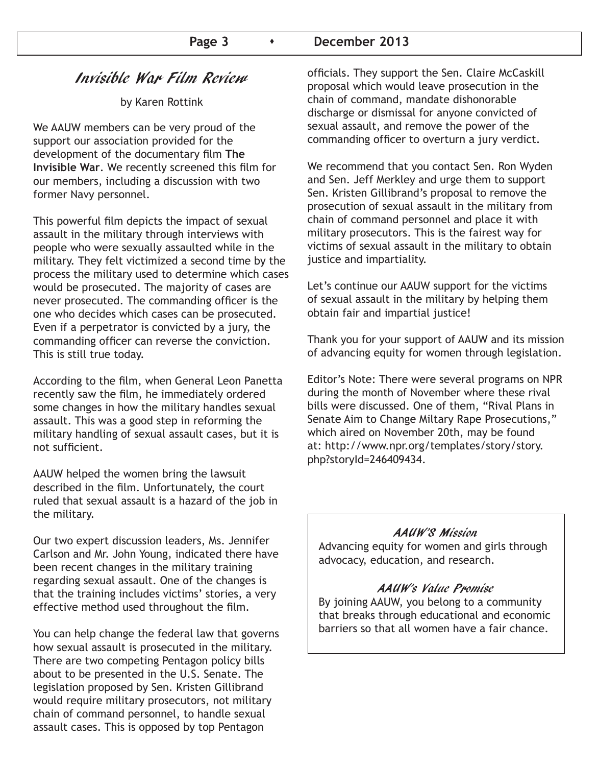### Invisible War Film Review

by Karen Rottink

We AAUW members can be very proud of the support our association provided for the development of the documentary film **The Invisible War**. We recently screened this film for our members, including a discussion with two former Navy personnel.

This powerful film depicts the impact of sexual assault in the military through interviews with people who were sexually assaulted while in the military. They felt victimized a second time by the process the military used to determine which cases would be prosecuted. The majority of cases are never prosecuted. The commanding officer is the one who decides which cases can be prosecuted. Even if a perpetrator is convicted by a jury, the commanding officer can reverse the conviction. This is still true today.

According to the film, when General Leon Panetta recently saw the film, he immediately ordered some changes in how the military handles sexual assault. This was a good step in reforming the military handling of sexual assault cases, but it is not sufficient.

AAUW helped the women bring the lawsuit described in the film. Unfortunately, the court ruled that sexual assault is a hazard of the job in the military.

Our two expert discussion leaders, Ms. Jennifer Carlson and Mr. John Young, indicated there have been recent changes in the military training regarding sexual assault. One of the changes is that the training includes victims' stories, a very effective method used throughout the film.

You can help change the federal law that governs how sexual assault is prosecuted in the military. There are two competing Pentagon policy bills about to be presented in the U.S. Senate. The legislation proposed by Sen. Kristen Gillibrand would require military prosecutors, not military chain of command personnel, to handle sexual assault cases. This is opposed by top Pentagon

officials. They support the Sen. Claire McCaskill proposal which would leave prosecution in the chain of command, mandate dishonorable discharge or dismissal for anyone convicted of sexual assault, and remove the power of the commanding officer to overturn a jury verdict.

We recommend that you contact Sen. Ron Wyden and Sen. Jeff Merkley and urge them to support Sen. Kristen Gillibrand's proposal to remove the prosecution of sexual assault in the military from chain of command personnel and place it with military prosecutors. This is the fairest way for victims of sexual assault in the military to obtain justice and impartiality.

Let's continue our AAUW support for the victims of sexual assault in the military by helping them obtain fair and impartial justice!

Thank you for your support of AAUW and its mission of advancing equity for women through legislation.

Editor's Note: There were several programs on NPR during the month of November where these rival bills were discussed. One of them, "Rival Plans in Senate Aim to Change Miltary Rape Prosecutions," which aired on November 20th, may be found at: http://www.npr.org/templates/story/story. php?storyId=246409434.

#### AAUW'S Mission

Advancing equity for women and girls through advocacy, education, and research.

#### AAUW's Value Promise

By joining AAUW, you belong to a community that breaks through educational and economic barriers so that all women have a fair chance.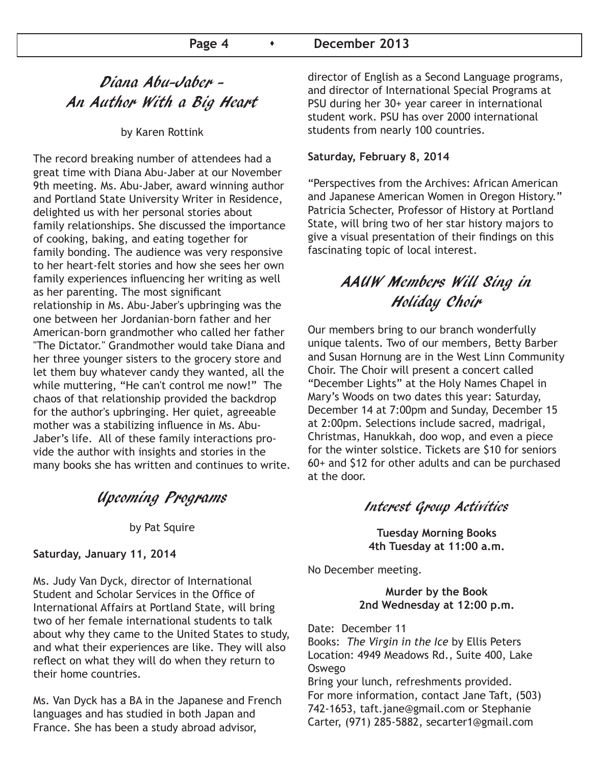#### Page 4  $\longrightarrow$  December 2013

### Diana Abu-Jaber - An Author With a Big Heart

by Karen Rottink

The record breaking number of attendees had a great time with Diana Abu-Jaber at our November 9th meeting. Ms. Abu-Jaber, award winning author and Portland State University Writer in Residence, delighted us with her personal stories about family relationships. She discussed the importance of cooking, baking, and eating together for family bonding. The audience was very responsive to her heart-felt stories and how she sees her own family experiences influencing her writing as well as her parenting. The most significant relationship in Ms. Abu-Jaber's upbringing was the one between her Jordanian-born father and her American-born grandmother who called her father "The Dictator." Grandmother would take Diana and her three younger sisters to the grocery store and let them buy whatever candy they wanted, all the while muttering, "He can't control me now!" The chaos of that relationship provided the backdrop for the author's upbringing. Her quiet, agreeable mother was a stabilizing influence in Ms. Abu-Jaber's life. All of these family interactions provide the author with insights and stories in the many books she has written and continues to write.

Upcoming Programs

by Pat Squire

**Saturday, January 11, 2014**

Ms. Judy Van Dyck, director of International Student and Scholar Services in the Office of International Affairs at Portland State, will bring two of her female international students to talk about why they came to the United States to study, and what their experiences are like. They will also reflect on what they will do when they return to their home countries.

Ms. Van Dyck has a BA in the Japanese and French languages and has studied in both Japan and France. She has been a study abroad advisor,

director of English as a Second Language programs, and director of International Special Programs at PSU during her 30+ year career in international student work. PSU has over 2000 international students from nearly 100 countries.

#### **Saturday, February 8, 2014**

"Perspectives from the Archives: African American and Japanese American Women in Oregon History." Patricia Schecter, Professor of History at Portland State, will bring two of her star history majors to give a visual presentation of their findings on this fascinating topic of local interest.

### AAUW Members Will Sing in Holiday Choir

Our members bring to our branch wonderfully unique talents. Two of our members, Betty Barber and Susan Hornung are in the West Linn Community Choir. The Choir will present a concert called "December Lights" at the Holy Names Chapel in Mary's Woods on two dates this year: Saturday, December 14 at 7:00pm and Sunday, December 15 at 2:00pm. Selections include sacred, madrigal, Christmas, Hanukkah, doo wop, and even a piece for the winter solstice. Tickets are \$10 for seniors 60+ and \$12 for other adults and can be purchased at the door.

#### Interest Group Activities

**Tuesday Morning Books 4th Tuesday at 11:00 a.m.**

No December meeting.

**Murder by the Book 2nd Wednesday at 12:00 p.m.**

Date: December 11

Books: *The Virgin in the Ice* by Ellis Peters Location: 4949 Meadows Rd., Suite 400, Lake Oswego

Bring your lunch, refreshments provided. For more information, contact Jane Taft, (503) 742-1653, taft.jane@gmail.com or Stephanie Carter, (971) 285-5882, secarter1@gmail.com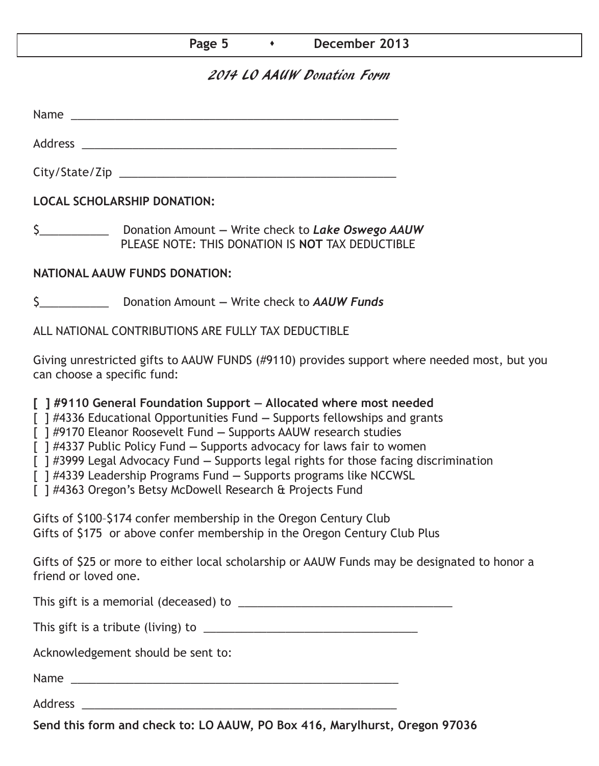#### Page 5  $\longrightarrow$  December 2013

### 2014 LO AAUW Donation Form

Name was also as  $\sim$  100  $\mu$  and  $\mu$  and  $\mu$  and  $\mu$  and  $\mu$  and  $\mu$  and  $\mu$  and  $\mu$  and  $\mu$  and  $\mu$  and  $\mu$  and  $\mu$  and  $\mu$  and  $\mu$  and  $\mu$  and  $\mu$  and  $\mu$  and  $\mu$  and  $\mu$  and  $\mu$  and  $\mu$  and  $\mu$  an

City/State/Zip 2000 and 2000 and 2000 and 2000 and 2000 and 2000 and 2000 and 2000 and 2000 and 200

Address \_\_\_\_\_\_\_\_\_\_\_\_\_\_\_\_\_\_\_\_\_\_\_\_\_\_\_\_\_\_\_\_\_\_\_\_\_\_\_\_\_\_\_\_\_\_\_\_\_\_

**LOCAL SCHOLARSHIP DONATION:**

\$\_\_\_\_\_\_\_\_\_\_\_ Donation Amount **—** Write check to *Lake Oswego AAUW* PLEASE NOTE: THIS DONATION IS **NOT** TAX DEDUCTIBLE

#### **NATIONAL AAUW FUNDS DONATION:**

\$\_\_\_\_\_\_\_\_\_\_\_ Donation Amount **—** Write check to *AAUW Funds*

ALL NATIONAL CONTRIBUTIONS ARE FULLY TAX DEDUCTIBLE

Giving unrestricted gifts to AAUW FUNDS (#9110) provides support where needed most, but you can choose a specific fund:

**[ ] #9110 General Foundation Support — Allocated where most needed** 

[ ] #4336 Educational Opportunities Fund **—** Supports fellowships and grants

[ ] #9170 Eleanor Roosevelt Fund **—** Supports AAUW research studies

[ ] #4337 Public Policy Fund **—** Supports advocacy for laws fair to women

[ ] #3999 Legal Advocacy Fund **—** Supports legal rights for those facing discrimination

[ ] #4339 Leadership Programs Fund **—** Supports programs like NCCWSL

[ ] #4363 Oregon's Betsy McDowell Research & Projects Fund

Gifts of \$100–\$174 confer membership in the Oregon Century Club Gifts of \$175 or above confer membership in the Oregon Century Club Plus

Gifts of \$25 or more to either local scholarship or AAUW Funds may be designated to honor a friend or loved one.

This gift is a memorial (deceased) to \_\_\_\_\_\_\_\_\_\_\_\_\_\_\_\_\_\_\_\_\_\_\_\_\_\_\_\_\_\_\_\_\_\_

This gift is a tribute (living) to \_\_\_\_\_\_\_\_\_\_\_\_\_\_\_\_\_\_\_\_\_\_\_\_\_\_\_\_\_\_\_\_\_\_

Acknowledgement should be sent to:

Name \_\_\_\_\_\_\_\_\_\_\_\_\_\_\_\_\_\_\_\_\_\_\_\_\_\_\_\_\_\_\_\_\_\_\_\_\_\_\_\_\_\_\_\_\_\_\_\_\_\_\_\_

Address \_\_\_\_\_\_\_\_\_\_\_\_\_\_\_\_\_\_\_\_\_\_\_\_\_\_\_\_\_\_\_\_\_\_\_\_\_\_\_\_\_\_\_\_\_\_\_\_\_\_

**Send this form and check to: LO AAUW, PO Box 416, Marylhurst, Oregon 97036**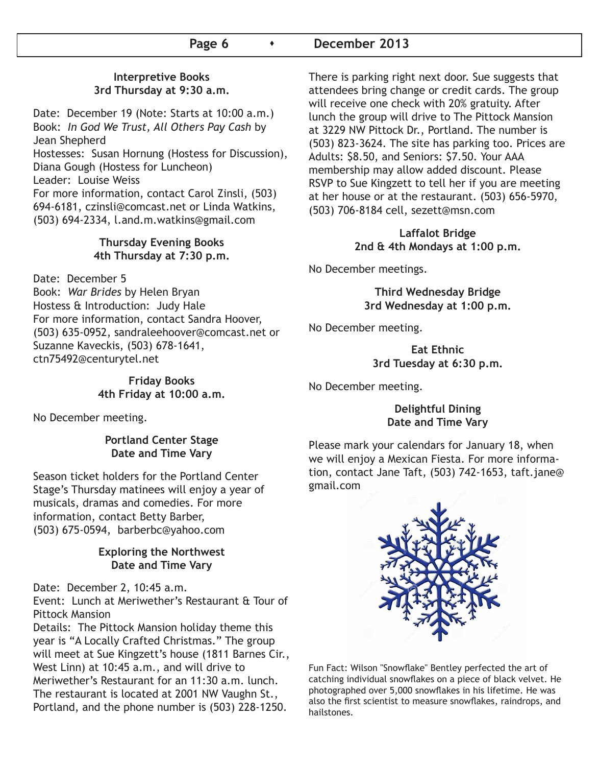#### Page 6  $\longrightarrow$  December 2013

#### **Interpretive Books 3rd Thursday at 9:30 a.m.**

Date: December 19 (Note: Starts at 10:00 a.m.) Book: *In God We Trust, All Others Pay Cash* by Jean Shepherd Hostesses: Susan Hornung (Hostess for Discussion),

Diana Gough (Hostess for Luncheon)

Leader: Louise Weiss

For more information, contact Carol Zinsli, (503) 694-6181, czinsli@comcast.net or Linda Watkins, (503) 694-2334, l.and.m.watkins@gmail.com

#### **Thursday Evening Books 4th Thursday at 7:30 p.m.**

Date: December 5 Book: *War Brides* by Helen Bryan Hostess & Introduction: Judy Hale For more information, contact Sandra Hoover, (503) 635-0952, sandraleehoover@comcast.net or Suzanne Kaveckis, (503) 678-1641, ctn75492@centurytel.net

> **Friday Books 4th Friday at 10:00 a.m.**

No December meeting.

#### **Portland Center Stage Date and Time Vary**

Season ticket holders for the Portland Center Stage's Thursday matinees will enjoy a year of musicals, dramas and comedies. For more information, contact Betty Barber, (503) 675-0594, barberbc@yahoo.com

#### **Exploring the Northwest Date and Time Vary**

Date: December 2, 10:45 a.m.

Event: Lunch at Meriwether's Restaurant & Tour of Pittock Mansion

Details: The Pittock Mansion holiday theme this year is "A Locally Crafted Christmas." The group will meet at Sue Kingzett's house (1811 Barnes Cir., West Linn) at 10:45 a.m., and will drive to Meriwether's Restaurant for an 11:30 a.m. lunch. The restaurant is located at 2001 NW Vaughn St., Portland, and the phone number is (503) 228-1250.

There is parking right next door. Sue suggests that attendees bring change or credit cards. The group will receive one check with 20% gratuity. After lunch the group will drive to The Pittock Mansion at 3229 NW Pittock Dr., Portland. The number is (503) 823-3624. The site has parking too. Prices are Adults: \$8.50, and Seniors: \$7.50. Your AAA membership may allow added discount. Please RSVP to Sue Kingzett to tell her if you are meeting at her house or at the restaurant. (503) 656-5970, (503) 706-8184 cell, sezett@msn.com

> **Laffalot Bridge 2nd & 4th Mondays at 1:00 p.m.**

No December meetings.

**Third Wednesday Bridge 3rd Wednesday at 1:00 p.m.**

No December meeting.

**Eat Ethnic 3rd Tuesday at 6:30 p.m.**

No December meeting.

#### **Delightful Dining Date and Time Vary**

Please mark your calendars for January 18, when we will enjoy a Mexican Fiesta. For more information, contact Jane Taft, (503) 742-1653, taft.jane@ gmail.com



Fun Fact: Wilson "Snowflake" Bentley perfected the art of catching individual snowflakes on a piece of black velvet. He photographed over 5,000 snowflakes in his lifetime. He was also the first scientist to measure snowflakes, raindrops, and hailstones.